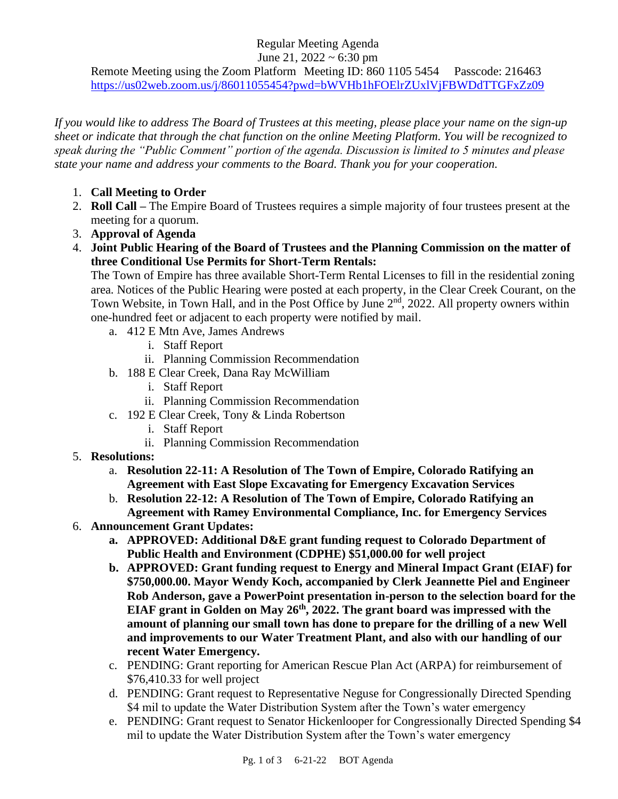## Regular Meeting Agenda

June 21,  $2022 \sim 6:30$  pm

Remote Meeting using the Zoom Platform Meeting ID: 860 1105 5454 Passcode: 216463 <https://us02web.zoom.us/j/86011055454?pwd=bWVHb1hFOElrZUxlVjFBWDdTTGFxZz09>

*If you would like to address The Board of Trustees at this meeting, please place your name on the sign-up sheet or indicate that through the chat function on the online Meeting Platform. You will be recognized to speak during the "Public Comment" portion of the agenda. Discussion is limited to 5 minutes and please state your name and address your comments to the Board. Thank you for your cooperation.*

- 1. **Call Meeting to Order**
- 2. **Roll Call –** The Empire Board of Trustees requires a simple majority of four trustees present at the meeting for a quorum.
- 3. **Approval of Agenda**
- 4. **Joint Public Hearing of the Board of Trustees and the Planning Commission on the matter of three Conditional Use Permits for Short-Term Rentals:**

The Town of Empire has three available Short-Term Rental Licenses to fill in the residential zoning area. Notices of the Public Hearing were posted at each property, in the Clear Creek Courant, on the Town Website, in Town Hall, and in the Post Office by June 2<sup>nd</sup>, 2022. All property owners within one-hundred feet or adjacent to each property were notified by mail.

- a. 412 E Mtn Ave, James Andrews
	- i. Staff Report
	- ii. Planning Commission Recommendation
- b. 188 E Clear Creek, Dana Ray McWilliam
	- i. Staff Report
	- ii. Planning Commission Recommendation
- c. 192 E Clear Creek, Tony & Linda Robertson
	- i. Staff Report
	- ii. Planning Commission Recommendation
- 5. **Resolutions:**
	- a. **Resolution 22-11: A Resolution of The Town of Empire, Colorado Ratifying an Agreement with East Slope Excavating for Emergency Excavation Services**
	- b. **Resolution 22-12: A Resolution of The Town of Empire, Colorado Ratifying an Agreement with Ramey Environmental Compliance, Inc. for Emergency Services**
- 6. **Announcement Grant Updates:**
	- **a. APPROVED: Additional D&E grant funding request to Colorado Department of Public Health and Environment (CDPHE) \$51,000.00 for well project**
	- **b. APPROVED: Grant funding request to Energy and Mineral Impact Grant (EIAF) for \$750,000.00. Mayor Wendy Koch, accompanied by Clerk Jeannette Piel and Engineer Rob Anderson, gave a PowerPoint presentation in-person to the selection board for the EIAF grant in Golden on May 26th, 2022. The grant board was impressed with the amount of planning our small town has done to prepare for the drilling of a new Well and improvements to our Water Treatment Plant, and also with our handling of our recent Water Emergency.**
	- c. PENDING: Grant reporting for American Rescue Plan Act (ARPA) for reimbursement of \$76,410.33 for well project
	- d. PENDING: Grant request to Representative Neguse for Congressionally Directed Spending \$4 mil to update the Water Distribution System after the Town's water emergency
	- e. PENDING: Grant request to Senator Hickenlooper for Congressionally Directed Spending \$4 mil to update the Water Distribution System after the Town's water emergency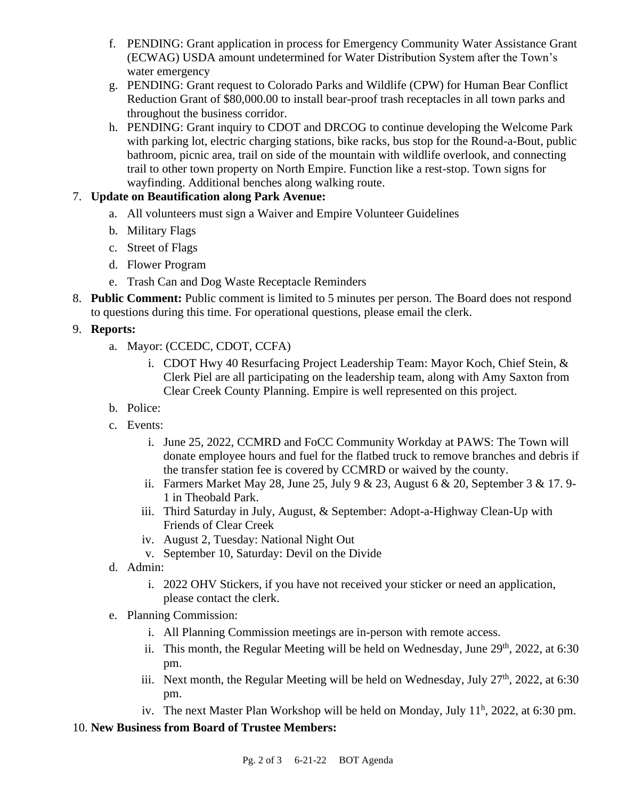- f. PENDING: Grant application in process for Emergency Community Water Assistance Grant (ECWAG) USDA amount undetermined for Water Distribution System after the Town's water emergency
- g. PENDING: Grant request to Colorado Parks and Wildlife (CPW) for Human Bear Conflict Reduction Grant of \$80,000.00 to install bear-proof trash receptacles in all town parks and throughout the business corridor.
- h. PENDING: Grant inquiry to CDOT and DRCOG to continue developing the Welcome Park with parking lot, electric charging stations, bike racks, bus stop for the Round-a-Bout, public bathroom, picnic area, trail on side of the mountain with wildlife overlook, and connecting trail to other town property on North Empire. Function like a rest-stop. Town signs for wayfinding. Additional benches along walking route.

## 7. **Update on Beautification along Park Avenue:**

- a. All volunteers must sign a Waiver and Empire Volunteer Guidelines
- b. Military Flags
- c. Street of Flags
- d. Flower Program
- e. Trash Can and Dog Waste Receptacle Reminders
- 8. **Public Comment:** Public comment is limited to 5 minutes per person. The Board does not respond to questions during this time. For operational questions, please email the clerk.
- 9. **Reports:**
	- a. Mayor: (CCEDC, CDOT, CCFA)
		- i. CDOT Hwy 40 Resurfacing Project Leadership Team: Mayor Koch, Chief Stein, & Clerk Piel are all participating on the leadership team, along with Amy Saxton from Clear Creek County Planning. Empire is well represented on this project.
	- b. Police:
	- c. Events:
		- i. June 25, 2022, CCMRD and FoCC Community Workday at PAWS: The Town will donate employee hours and fuel for the flatbed truck to remove branches and debris if the transfer station fee is covered by CCMRD or waived by the county.
		- ii. Farmers Market May 28, June 25, July 9 & 23, August 6 & 20, September 3 & 17.9-1 in Theobald Park.
		- iii. Third Saturday in July, August, & September: Adopt-a-Highway Clean-Up with Friends of Clear Creek
		- iv. August 2, Tuesday: National Night Out
		- v. September 10, Saturday: Devil on the Divide
	- d. Admin:
		- i. 2022 OHV Stickers, if you have not received your sticker or need an application, please contact the clerk.
	- e. Planning Commission:
		- i. All Planning Commission meetings are in-person with remote access.
		- ii. This month, the Regular Meeting will be held on Wednesday, June  $29<sup>th</sup>$ ,  $2022$ , at 6:30 pm.
		- iii. Next month, the Regular Meeting will be held on Wednesday, July  $27<sup>th</sup>$ , 2022, at 6:30 pm.
		- iv. The next Master Plan Workshop will be held on Monday, July  $11<sup>h</sup>$ , 2022, at 6:30 pm.

## 10. **New Business from Board of Trustee Members:**